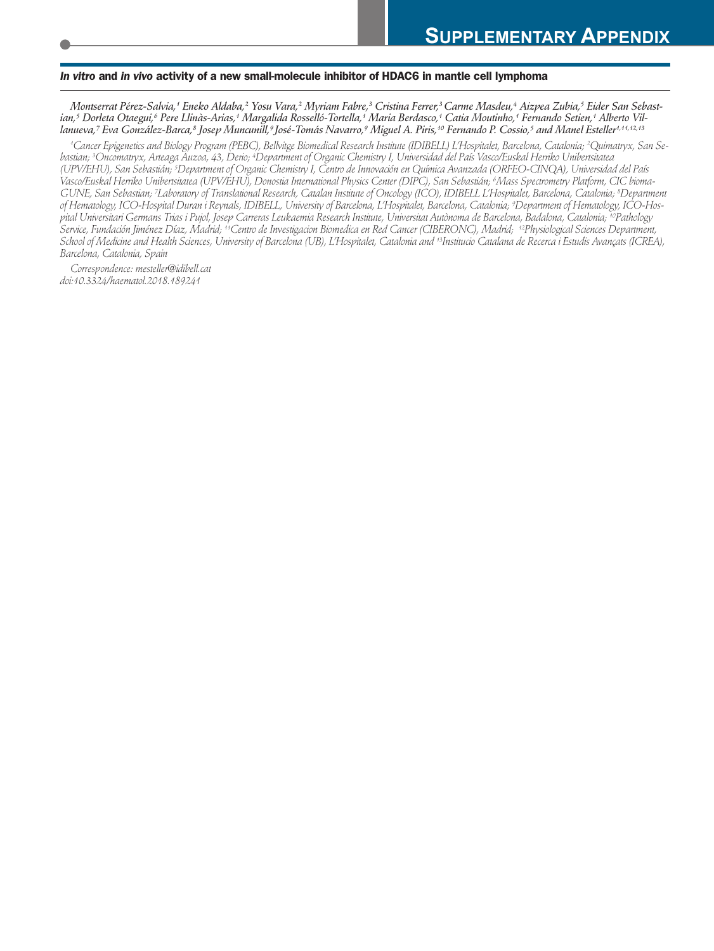#### *In vitro* **and** *in vivo* **activity of a new small-molecule inhibitor of HDAC6 in mantle cell lymphoma**

Montserrat Pérez-Salvia,† Eneko Aldaba,<sup>2</sup> Yosu Vara,<sup>2</sup> Myriam Fabre,<sup>3</sup> Cristina Ferrer,<sup>3</sup> Carme Masdeu,4 Aizpea Zubia,<sup>5</sup> Eider San Sebastian,† Dorleta Otaegui,¢ Pere Llinàs-Arias,† Margalida Rosselló-Tortella,† Maria Berdasco,† Catia Moutinho,† Fernando Setien,† Alberto Villanueva,7 Eva González-Barca,8 Josep Muncunill,9 José-Tomás Navarro,9 Miguel A. Piris,1º Fernando P. Cossio,5 and Manel Esteller<sup>1,11,12,13</sup>

'Cancer Epigenetics and Biology Program (PEBC), Bellvitge Biomedical Research Institute (IDIBELL) L'Hospitalet, Barcelona, Catalonia; <sup>2</sup>Quimatryx, San Sebastian; <sup>s</sup>Oncomatryx, Arteaga Auzoa, 43, Derio; <sup>4</sup>Department of Organic Chemistry I, Universidad del País Vasco/Euskal Herriko Unibertsitatea (UPV/EHU), San Sebastián; <sup>5</sup>Department of Organic Chemistry I, Centro de Innovación en Química Avanzada (ORFEO-CINQA), Universidad del País Vasco/Euskal Herriko Unibertsitatea (UPV/EHU), Donostia International Physics Center (DIPC), San Sebastián; <sup>6</sup>Mass Spectrometry Platform, CIC bioma-GUNE, San Sebastian; Ilaboratory of Translational Research, Catalan Institute of Oncology (ICO), IDIBELL L'Hospitalet, Barcelona, Catalonia; <sup>8</sup>Department of Hematology, ICO-Hospital Duran i Reynals, IDIBELL, University of Barcelona, L'Hospitalet, Barcelona, Catalonia; <sup>9</sup>Department of Hematology, ICO-Hospital Universitari Germans Trias i Pujol, Josep Carreras Leukaemia Research Institute, Universitat Autònoma de Barcelona, Badalona, Catalonia; ''Pathology Service, Fundación Jiménez Díaz, Madrid; "Centro de Investigacion Biomedica en Red Cancer (CIBERONC), Madrid; "Physiological Sciences Department, School of Medicine and Health Sciences, University of Barcelona (UB), L'Hospitalet, Catalonia and †™Institucio Catalana de Recerca i Estudis Avançats (ICREA), *Barcelona, Catalonia, Spain*

*Correspondence: mesteller@idibell.cat doi:10.3324/haematol.2018.189241*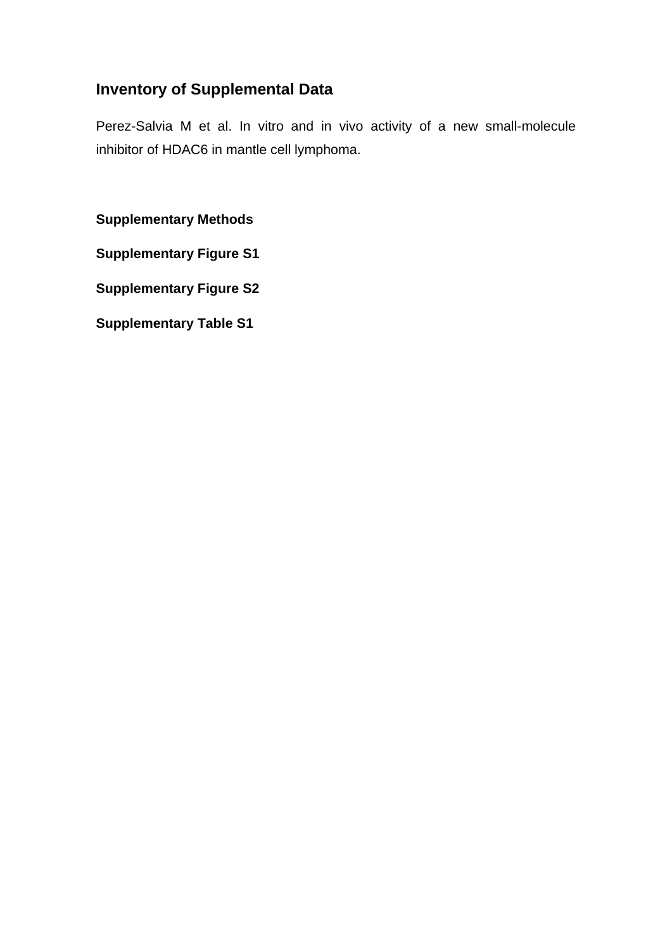# **Inventory of Supplemental Data**

Perez-Salvia M et al. In vitro and in vivo activity of a new small-molecule inhibitor of HDAC6 in mantle cell lymphoma.

**Supplementary Methods** 

**Supplementary Figure S1** 

**Supplementary Figure S2** 

**Supplementary Table S1**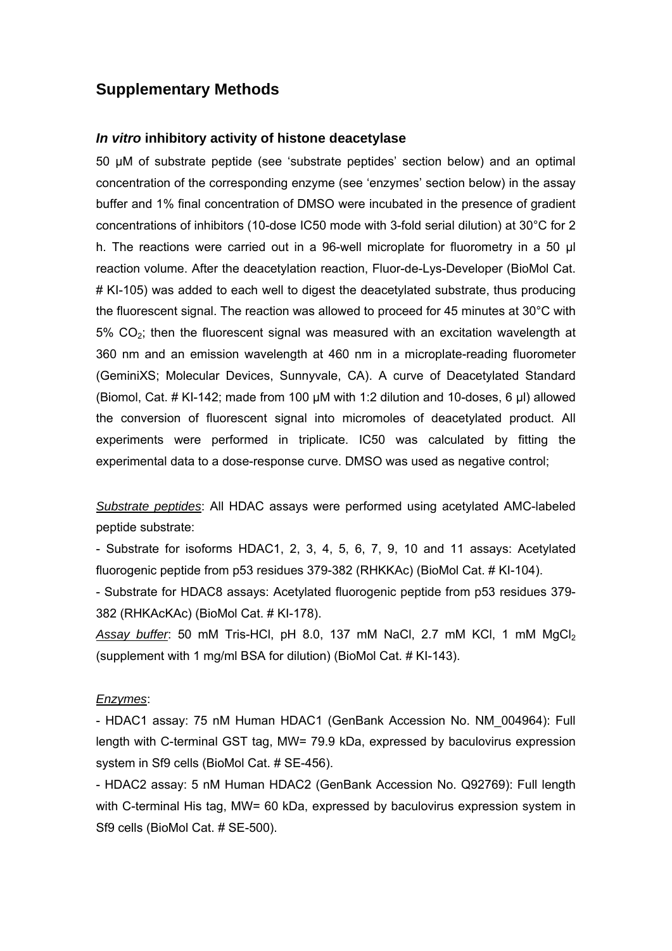## **Supplementary Methods**

#### *In vitro* **inhibitory activity of histone deacetylase**

50 μM of substrate peptide (see 'substrate peptides' section below) and an optimal concentration of the corresponding enzyme (see 'enzymes' section below) in the assay buffer and 1% final concentration of DMSO were incubated in the presence of gradient concentrations of inhibitors (10-dose IC50 mode with 3-fold serial dilution) at 30°C for 2 h. The reactions were carried out in a 96-well microplate for fluorometry in a 50 μl reaction volume. After the deacetylation reaction, Fluor-de-Lys-Developer (BioMol Cat. # KI-105) was added to each well to digest the deacetylated substrate, thus producing the fluorescent signal. The reaction was allowed to proceed for 45 minutes at 30°C with  $5\%$  CO<sub>2</sub>; then the fluorescent signal was measured with an excitation wavelength at 360 nm and an emission wavelength at 460 nm in a microplate-reading fluorometer (GeminiXS; Molecular Devices, Sunnyvale, CA). A curve of Deacetylated Standard (Biomol, Cat. # KI-142; made from 100 μM with 1:2 dilution and 10-doses, 6 μl) allowed the conversion of fluorescent signal into micromoles of deacetylated product. All experiments were performed in triplicate. IC50 was calculated by fitting the experimental data to a dose-response curve. DMSO was used as negative control;

*Substrate peptides*: All HDAC assays were performed using acetylated AMC-labeled peptide substrate:

- Substrate for isoforms HDAC1, 2, 3, 4, 5, 6, 7, 9, 10 and 11 assays: Acetylated fluorogenic peptide from p53 residues 379-382 (RHKKAc) (BioMol Cat. # KI-104).

- Substrate for HDAC8 assays: Acetylated fluorogenic peptide from p53 residues 379- 382 (RHKAcKAc) (BioMol Cat. # KI-178).

Assay buffer: 50 mM Tris-HCl, pH 8.0, 137 mM NaCl, 2.7 mM KCl, 1 mM MgCl<sub>2</sub> (supplement with 1 mg/ml BSA for dilution) (BioMol Cat. # KI-143).

#### *Enzymes*:

- HDAC1 assay: 75 nM Human HDAC1 (GenBank Accession No. NM\_004964): Full length with C-terminal GST tag, MW= 79.9 kDa, expressed by baculovirus expression system in Sf9 cells (BioMol Cat. # SE-456).

- HDAC2 assay: 5 nM Human HDAC2 (GenBank Accession No. Q92769): Full length with C-terminal His tag, MW= 60 kDa, expressed by baculovirus expression system in Sf9 cells (BioMol Cat. # SE-500).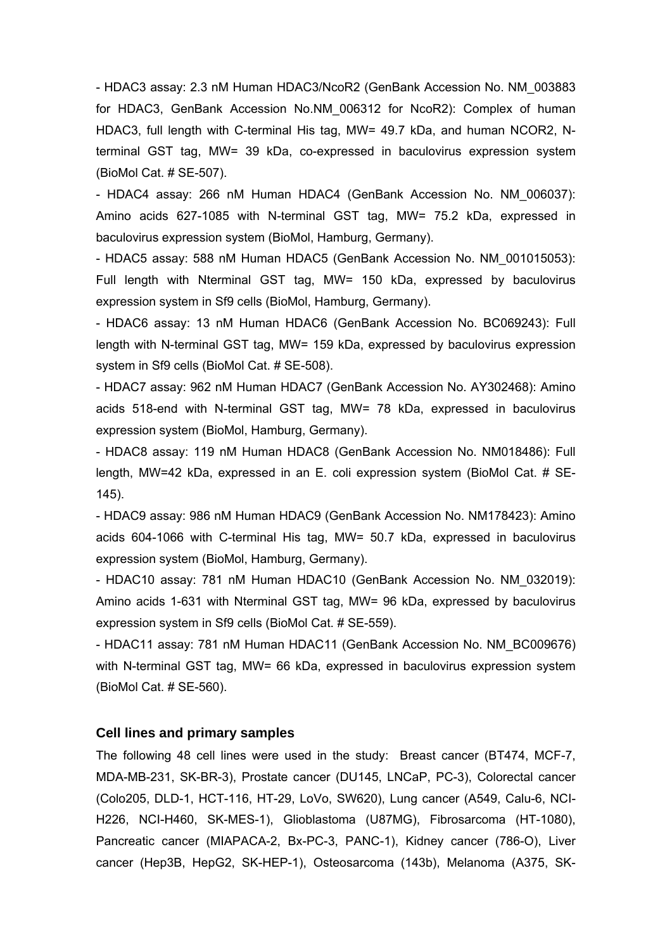- HDAC3 assay: 2.3 nM Human HDAC3/NcoR2 (GenBank Accession No. NM\_003883 for HDAC3, GenBank Accession No.NM\_006312 for NcoR2): Complex of human HDAC3, full length with C-terminal His tag, MW= 49.7 kDa, and human NCOR2, Nterminal GST tag, MW= 39 kDa, co-expressed in baculovirus expression system (BioMol Cat. # SE-507).

- HDAC4 assay: 266 nM Human HDAC4 (GenBank Accession No. NM\_006037): Amino acids 627-1085 with N-terminal GST tag, MW= 75.2 kDa, expressed in baculovirus expression system (BioMol, Hamburg, Germany).

- HDAC5 assay: 588 nM Human HDAC5 (GenBank Accession No. NM\_001015053): Full length with Nterminal GST tag, MW= 150 kDa, expressed by baculovirus expression system in Sf9 cells (BioMol, Hamburg, Germany).

- HDAC6 assay: 13 nM Human HDAC6 (GenBank Accession No. BC069243): Full length with N-terminal GST tag, MW= 159 kDa, expressed by baculovirus expression system in Sf9 cells (BioMol Cat. # SE-508).

- HDAC7 assay: 962 nM Human HDAC7 (GenBank Accession No. AY302468): Amino acids 518-end with N-terminal GST tag, MW= 78 kDa, expressed in baculovirus expression system (BioMol, Hamburg, Germany).

- HDAC8 assay: 119 nM Human HDAC8 (GenBank Accession No. NM018486): Full length, MW=42 kDa, expressed in an E. coli expression system (BioMol Cat. # SE-145).

- HDAC9 assay: 986 nM Human HDAC9 (GenBank Accession No. NM178423): Amino acids 604-1066 with C-terminal His tag, MW= 50.7 kDa, expressed in baculovirus expression system (BioMol, Hamburg, Germany).

- HDAC10 assay: 781 nM Human HDAC10 (GenBank Accession No. NM\_032019): Amino acids 1-631 with Nterminal GST tag, MW= 96 kDa, expressed by baculovirus expression system in Sf9 cells (BioMol Cat. # SE-559).

- HDAC11 assay: 781 nM Human HDAC11 (GenBank Accession No. NM\_BC009676) with N-terminal GST tag, MW= 66 kDa, expressed in baculovirus expression system (BioMol Cat. # SE-560).

#### **Cell lines and primary samples**

The following 48 cell lines were used in the study: Breast cancer (BT474, MCF-7, MDA-MB-231, SK-BR-3), Prostate cancer (DU145, LNCaP, PC-3), Colorectal cancer (Colo205, DLD-1, HCT-116, HT-29, LoVo, SW620), Lung cancer (A549, Calu-6, NCI-H226, NCI-H460, SK-MES-1), Glioblastoma (U87MG), Fibrosarcoma (HT-1080), Pancreatic cancer (MIAPACA-2, Bx-PC-3, PANC-1), Kidney cancer (786-O), Liver cancer (Hep3B, HepG2, SK-HEP-1), Osteosarcoma (143b), Melanoma (A375, SK-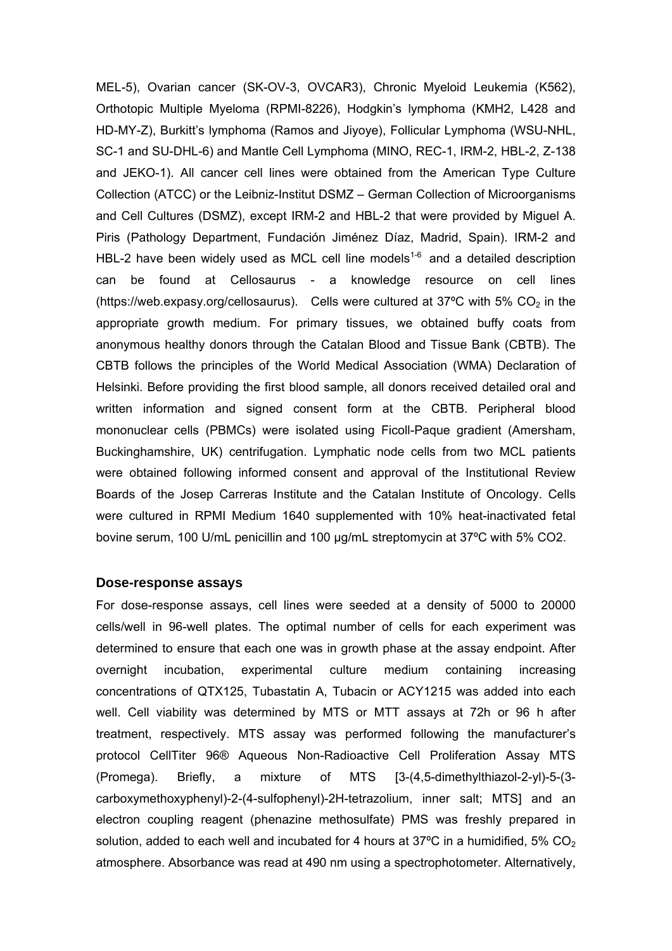MEL-5), Ovarian cancer (SK-OV-3, OVCAR3), Chronic Myeloid Leukemia (K562), Orthotopic Multiple Myeloma (RPMI-8226), Hodgkin's lymphoma (KMH2, L428 and HD-MY-Z), Burkitt's lymphoma (Ramos and Jiyoye), Follicular Lymphoma (WSU-NHL, SC-1 and SU-DHL-6) and Mantle Cell Lymphoma (MINO, REC-1, IRM-2, HBL-2, Z-138 and JEKO-1). All cancer cell lines were obtained from the American Type Culture Collection (ATCC) or the Leibniz-Institut DSMZ – German Collection of Microorganisms and Cell Cultures (DSMZ), except IRM-2 and HBL-2 that were provided by Miguel A. Piris (Pathology Department, Fundación Jiménez Díaz, Madrid, Spain). IRM-2 and HBL-2 have been widely used as MCL cell line models<sup>1-6</sup> and a detailed description can be found at Cellosaurus - a knowledge resource on cell lines (https://web.expasy.org/cellosaurus). Cells were cultured at 37°C with 5%  $CO<sub>2</sub>$  in the appropriate growth medium. For primary tissues, we obtained buffy coats from anonymous healthy donors through the Catalan Blood and Tissue Bank (CBTB). The CBTB follows the principles of the World Medical Association (WMA) Declaration of Helsinki. Before providing the first blood sample, all donors received detailed oral and written information and signed consent form at the CBTB. Peripheral blood mononuclear cells (PBMCs) were isolated using Ficoll-Paque gradient (Amersham, Buckinghamshire, UK) centrifugation. Lymphatic node cells from two MCL patients were obtained following informed consent and approval of the Institutional Review Boards of the Josep Carreras Institute and the Catalan Institute of Oncology. Cells were cultured in RPMI Medium 1640 supplemented with 10% heat-inactivated fetal bovine serum, 100 U/mL penicillin and 100 µg/mL streptomycin at 37ºC with 5% CO2.

#### **Dose-response assays**

For dose-response assays, cell lines were seeded at a density of 5000 to 20000 cells/well in 96-well plates. The optimal number of cells for each experiment was determined to ensure that each one was in growth phase at the assay endpoint. After overnight incubation, experimental culture medium containing increasing concentrations of QTX125, Tubastatin A, Tubacin or ACY1215 was added into each well. Cell viability was determined by MTS or MTT assays at 72h or 96 h after treatment, respectively. MTS assay was performed following the manufacturer's protocol CellTiter 96® Aqueous Non-Radioactive Cell Proliferation Assay MTS (Promega). Briefly, a mixture of MTS [3-(4,5-dimethylthiazol-2-yl)-5-(3 carboxymethoxyphenyl)-2-(4-sulfophenyl)-2H-tetrazolium, inner salt; MTS] and an electron coupling reagent (phenazine methosulfate) PMS was freshly prepared in solution, added to each well and incubated for 4 hours at 37 $\degree$ C in a humidified, 5% CO<sub>2</sub> atmosphere. Absorbance was read at 490 nm using a spectrophotometer. Alternatively,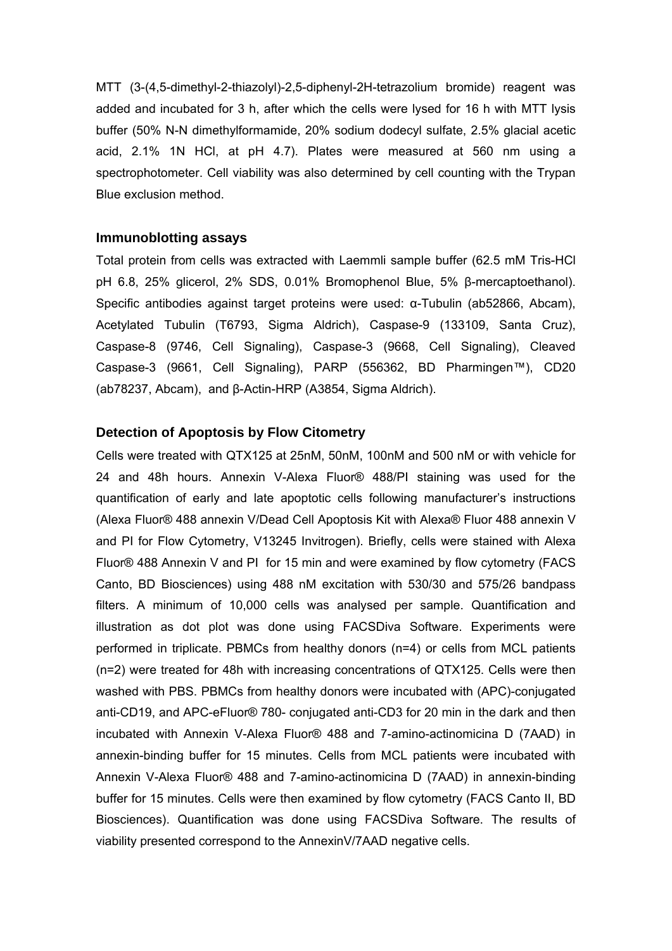MTT (3-(4,5-dimethyl-2-thiazolyl)-2,5-diphenyl-2H-tetrazolium bromide) reagent was added and incubated for 3 h, after which the cells were lysed for 16 h with MTT lysis buffer (50% N-N dimethylformamide, 20% sodium dodecyl sulfate, 2.5% glacial acetic acid, 2.1% 1N HCl, at pH 4.7). Plates were measured at 560 nm using a spectrophotometer. Cell viability was also determined by cell counting with the Trypan Blue exclusion method.

#### **Immunoblotting assays**

Total protein from cells was extracted with Laemmli sample buffer (62.5 mM Tris-HCl pH 6.8, 25% glicerol, 2% SDS, 0.01% Bromophenol Blue, 5% β-mercaptoethanol). Specific antibodies against target proteins were used: α-Tubulin (ab52866, Abcam), Acetylated Tubulin (T6793, Sigma Aldrich), Caspase-9 (133109, Santa Cruz), Caspase-8 (9746, Cell Signaling), Caspase-3 (9668, Cell Signaling), Cleaved Caspase-3 (9661, Cell Signaling), PARP (556362, BD Pharmingen™), CD20 (ab78237, Abcam), and β-Actin-HRP (A3854, Sigma Aldrich).

#### **Detection of Apoptosis by Flow Citometry**

Cells were treated with QTX125 at 25nM, 50nM, 100nM and 500 nM or with vehicle for 24 and 48h hours. Annexin V-Alexa Fluor® 488/PI staining was used for the quantification of early and late apoptotic cells following manufacturer's instructions (Alexa Fluor® 488 annexin V/Dead Cell Apoptosis Kit with Alexa® Fluor 488 annexin V and PI for Flow Cytometry, V13245 Invitrogen). Briefly, cells were stained with Alexa Fluor® 488 Annexin V and PI for 15 min and were examined by flow cytometry (FACS Canto, BD Biosciences) using 488 nM excitation with 530/30 and 575/26 bandpass filters. A minimum of 10,000 cells was analysed per sample. Quantification and illustration as dot plot was done using FACSDiva Software. Experiments were performed in triplicate. PBMCs from healthy donors (n=4) or cells from MCL patients (n=2) were treated for 48h with increasing concentrations of QTX125. Cells were then washed with PBS. PBMCs from healthy donors were incubated with (APC)-conjugated anti-CD19, and APC-eFluor® 780- conjugated anti-CD3 for 20 min in the dark and then incubated with Annexin V-Alexa Fluor® 488 and 7-amino-actinomicina D (7AAD) in annexin-binding buffer for 15 minutes. Cells from MCL patients were incubated with Annexin V-Alexa Fluor® 488 and 7-amino-actinomicina D (7AAD) in annexin-binding buffer for 15 minutes. Cells were then examined by flow cytometry (FACS Canto II, BD Biosciences). Quantification was done using FACSDiva Software. The results of viability presented correspond to the AnnexinV/7AAD negative cells.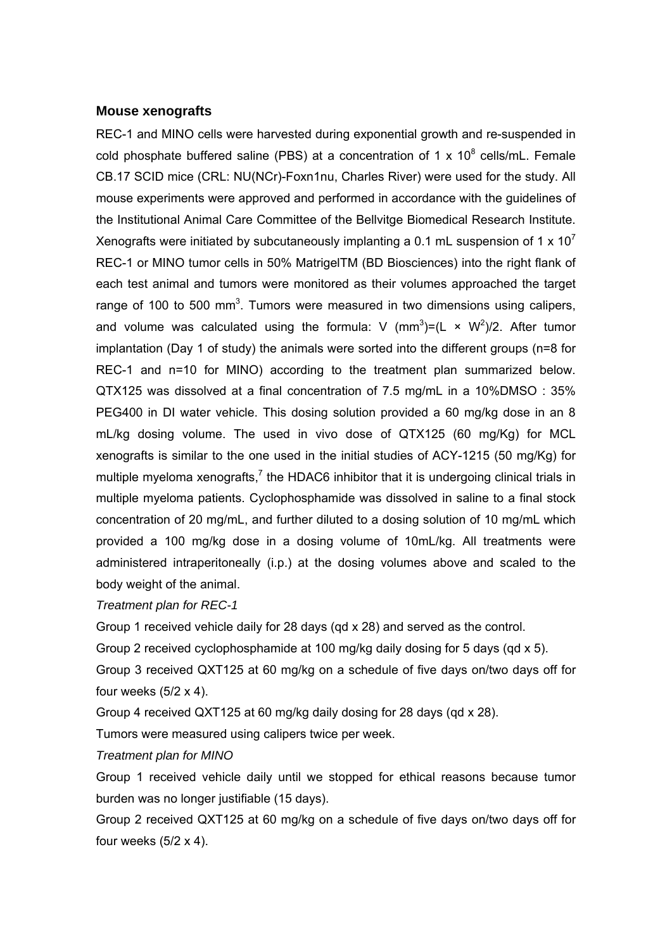#### **Mouse xenografts**

REC-1 and MINO cells were harvested during exponential growth and re-suspended in cold phosphate buffered saline (PBS) at a concentration of 1 x  $10^8$  cells/mL. Female CB.17 SCID mice (CRL: NU(NCr)-Foxn1nu, Charles River) were used for the study. All mouse experiments were approved and performed in accordance with the guidelines of the Institutional Animal Care Committee of the Bellvitge Biomedical Research Institute. Xenografts were initiated by subcutaneously implanting a 0.1 mL suspension of 1  $\times$  10<sup>7</sup> REC-1 or MINO tumor cells in 50% MatrigelTM (BD Biosciences) into the right flank of each test animal and tumors were monitored as their volumes approached the target range of 100 to 500 mm<sup>3</sup>. Tumors were measured in two dimensions using calipers, and volume was calculated using the formula: V  $(mm^3) = (L \times W^2)/2$ . After tumor implantation (Day 1 of study) the animals were sorted into the different groups (n=8 for REC-1 and n=10 for MINO) according to the treatment plan summarized below. QTX125 was dissolved at a final concentration of 7.5 mg/mL in a 10%DMSO : 35% PEG400 in DI water vehicle. This dosing solution provided a 60 mg/kg dose in an 8 mL/kg dosing volume. The used in vivo dose of QTX125 (60 mg/Kg) for MCL xenografts is similar to the one used in the initial studies of ACY-1215 (50 mg/Kg) for multiple myeloma xenografts,<sup>7</sup> the HDAC6 inhibitor that it is undergoing clinical trials in multiple myeloma patients. Cyclophosphamide was dissolved in saline to a final stock concentration of 20 mg/mL, and further diluted to a dosing solution of 10 mg/mL which provided a 100 mg/kg dose in a dosing volume of 10mL/kg. All treatments were administered intraperitoneally (i.p.) at the dosing volumes above and scaled to the body weight of the animal.

*Treatment plan for REC-1* 

Group 1 received vehicle daily for 28 days (qd x 28) and served as the control.

Group 2 received cyclophosphamide at 100 mg/kg daily dosing for 5 days (qd x 5).

Group 3 received QXT125 at 60 mg/kg on a schedule of five days on/two days off for four weeks  $(5/2 \times 4)$ .

Group 4 received QXT125 at 60 mg/kg daily dosing for 28 days (qd x 28).

Tumors were measured using calipers twice per week.

### *Treatment plan for MINO*

Group 1 received vehicle daily until we stopped for ethical reasons because tumor burden was no longer justifiable (15 days).

Group 2 received QXT125 at 60 mg/kg on a schedule of five days on/two days off for four weeks  $(5/2 \times 4)$ .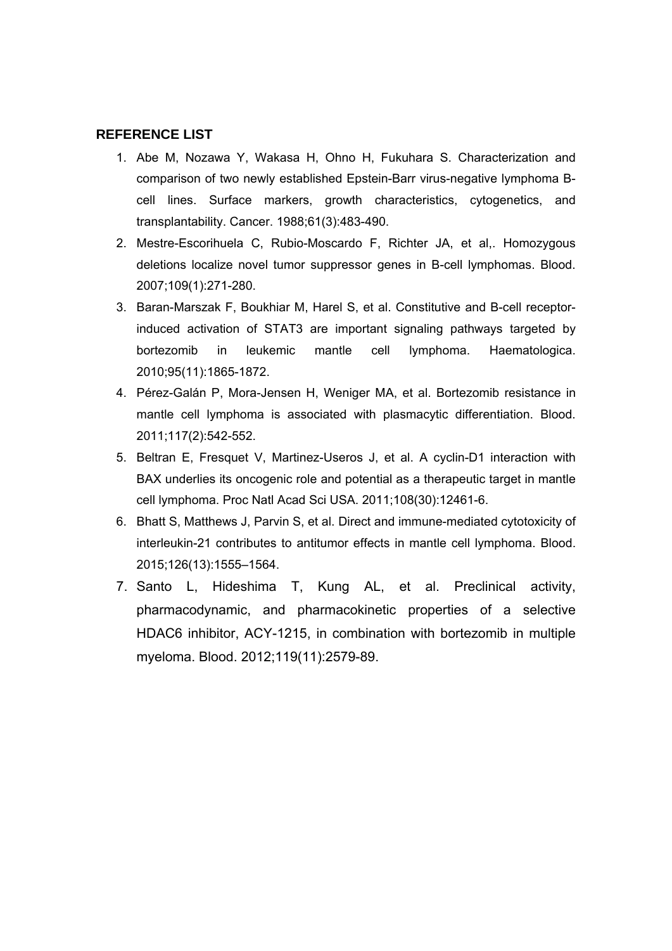#### **REFERENCE LIST**

- 1. Abe M, Nozawa Y, Wakasa H, Ohno H, Fukuhara S. Characterization and comparison of two newly established Epstein-Barr virus-negative lymphoma Bcell lines. Surface markers, growth characteristics, cytogenetics, and transplantability. Cancer. 1988;61(3):483-490.
- 2. Mestre-Escorihuela C, Rubio-Moscardo F, Richter JA, et al,. Homozygous deletions localize novel tumor suppressor genes in B-cell lymphomas. Blood. 2007;109(1):271-280.
- 3. Baran-Marszak F, Boukhiar M, Harel S, et al. Constitutive and B-cell receptorinduced activation of STAT3 are important signaling pathways targeted by bortezomib in leukemic mantle cell lymphoma. Haematologica. 2010;95(11):1865-1872.
- 4. Pérez-Galán P, Mora-Jensen H, Weniger MA, et al. Bortezomib resistance in mantle cell lymphoma is associated with plasmacytic differentiation. Blood. 2011;117(2):542-552.
- 5. Beltran E, Fresquet V, Martinez-Useros J, et al. A cyclin-D1 interaction with BAX underlies its oncogenic role and potential as a therapeutic target in mantle cell lymphoma. Proc Natl Acad Sci USA. 2011;108(30):12461-6.
- 6. Bhatt S, Matthews J, Parvin S, et al. Direct and immune-mediated cytotoxicity of interleukin-21 contributes to antitumor effects in mantle cell lymphoma. Blood. 2015;126(13):1555–1564.
- 7. Santo L, Hideshima T, Kung AL, et al. Preclinical activity, pharmacodynamic, and pharmacokinetic properties of a selective HDAC6 inhibitor, ACY-1215, in combination with bortezomib in multiple myeloma. Blood. 2012;119(11):2579-89.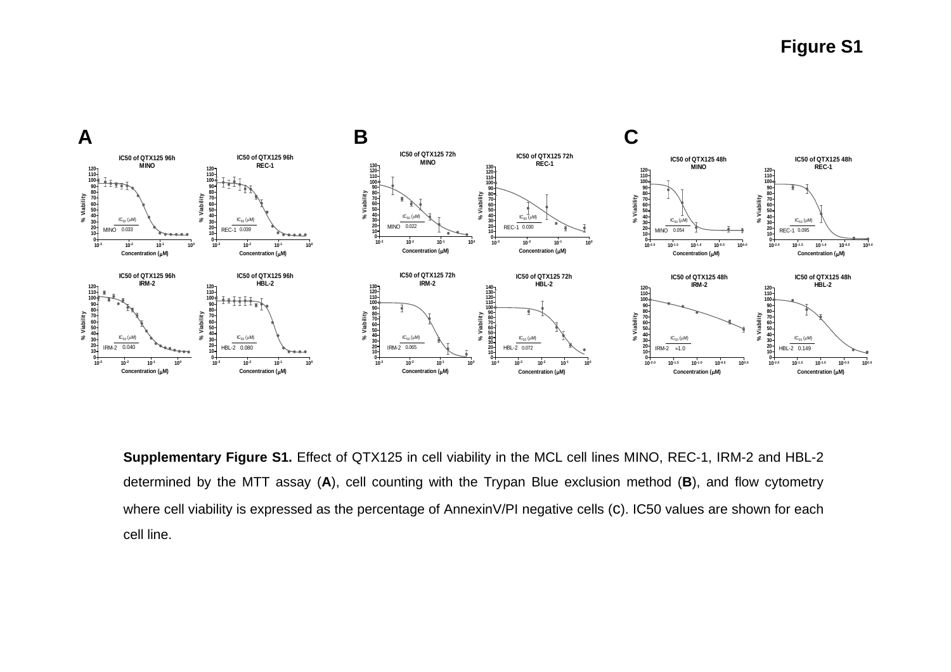

**Supplementary Figure S1.** Effect of QTX125 in cell viability in the MCL cell lines MINO, REC-1, IRM-2 and HBL-2 determined by the MTT assay (A), cell counting with the Trypan Blue exclusion method (B), and flow cytometry where cell viability is expressed as the percentage of AnnexinV/PI negative cells (C). IC50 values are shown for each cell line.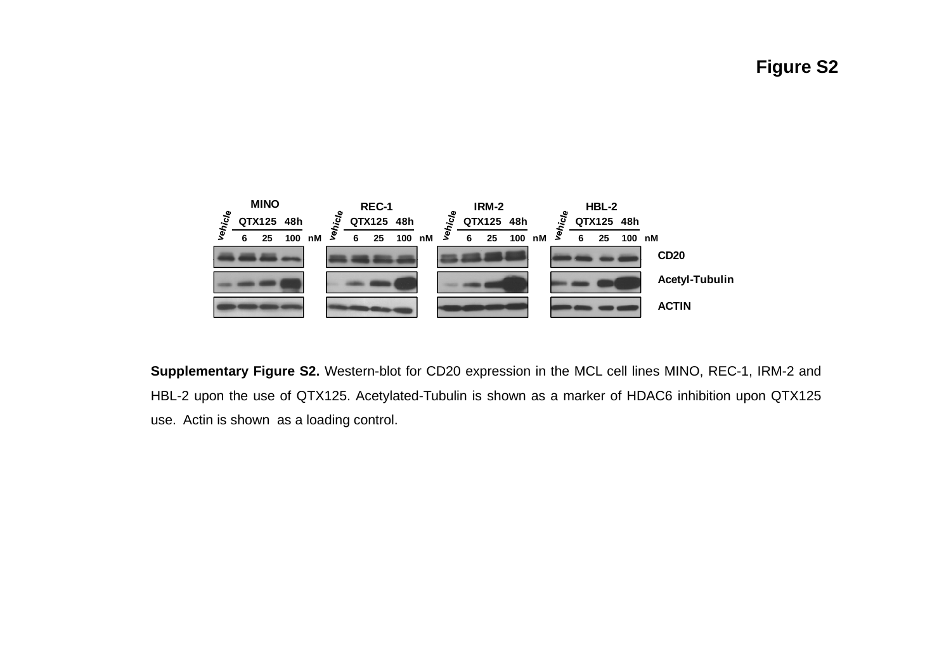**Figure S2**



**Supplementary Figure S2.** Western-blot for CD20 expression in the MCL cell lines MINO, REC-1, IRM-2 and HBL-2 upon the use of QTX125. Acetylated-Tubulin is shown as <sup>a</sup> marker of HDAC6 inhibition upon QTX125 use. Actin is shown as <sup>a</sup> loading control.